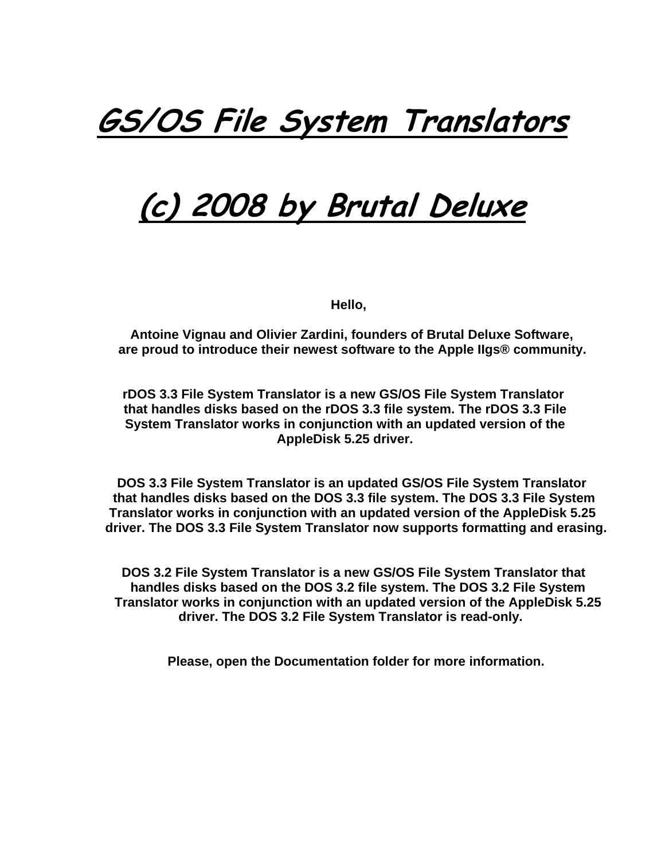## **GS/OS File System Translators**

# **(c) 2008 by Brutal Deluxe**

 **Hello,**

**Antoine Vignau and Olivier Zardini, founders of Brutal Deluxe Software, are proud to introduce their newest software to the Apple IIgs® community.**

 **rDOS 3.3 File System Translator is a new GS/OS File System Translator that handles disks based on the rDOS 3.3 file system. The rDOS 3.3 File System Translator works in conjunction with an updated version of the AppleDisk 5.25 driver.**

**DOS 3.3 File System Translator is an updated GS/OS File System Translator that handles disks based on the DOS 3.3 file system. The DOS 3.3 File System Translator works in conjunction with an updated version of the AppleDisk 5.25 driver. The DOS 3.3 File System Translator now supports formatting and erasing.**

 **DOS 3.2 File System Translator is a new GS/OS File System Translator that handles disks based on the DOS 3.2 file system. The DOS 3.2 File System Translator works in conjunction with an updated version of the AppleDisk 5.25 driver. The DOS 3.2 File System Translator is read-only.**

 **Please, open the Documentation folder for more information.**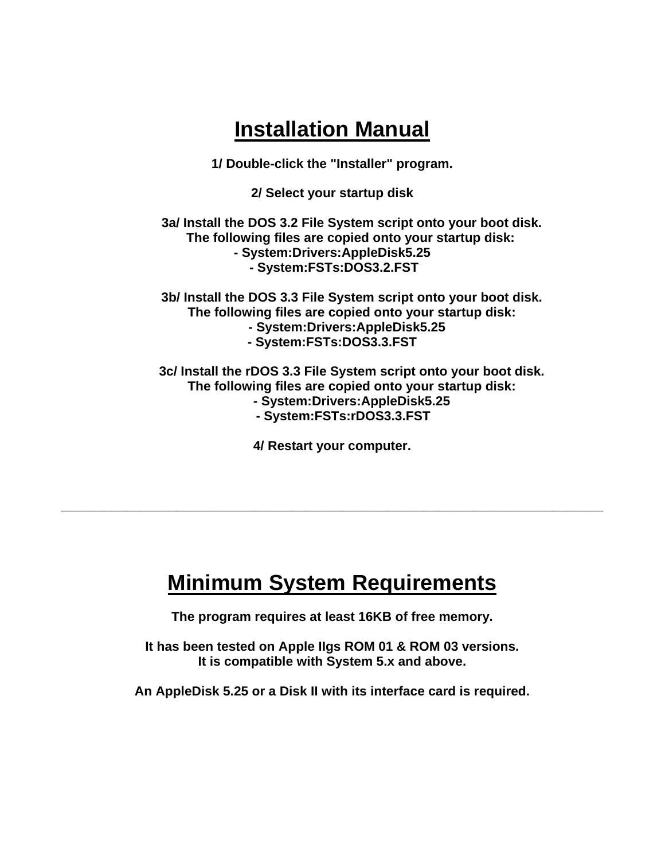#### **Installation Manual**

**1/ Double-click the "Installer" program.**

**2/ Select your startup disk**

**3a/ Install the DOS 3.2 File System script onto your boot disk. The following files are copied onto your startup disk: - System:Drivers:AppleDisk5.25 - System:FSTs:DOS3.2.FST**

**3b/ Install the DOS 3.3 File System script onto your boot disk. The following files are copied onto your startup disk: - System:Drivers:AppleDisk5.25 - System:FSTs:DOS3.3.FST**

**3c/ Install the rDOS 3.3 File System script onto your boot disk. The following files are copied onto your startup disk:**

- **System:Drivers:AppleDisk5.25**
- **System:FSTs:rDOS3.3.FST**

**4/ Restart your computer.**

**\_\_\_\_\_\_\_\_\_\_\_\_\_\_\_\_\_\_\_\_\_\_\_\_\_\_\_\_\_\_\_\_\_\_\_\_\_\_\_\_\_\_\_\_\_\_\_\_\_\_\_\_\_\_\_\_\_\_\_\_\_\_\_\_\_\_\_\_\_\_\_\_\_\_\_**

#### **Minimum System Requirements**

**The program requires at least 16KB of free memory.**

**It has been tested on Apple IIgs ROM 01 & ROM 03 versions. It is compatible with System 5.x and above.**

**An AppleDisk 5.25 or a Disk II with its interface card is required.**